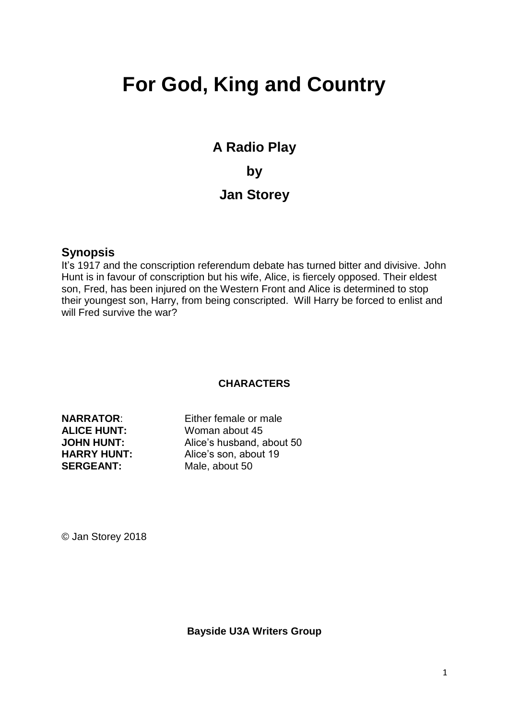# **For God, King and Country**

**A Radio Play by Jan Storey** 

#### **Synopsis**

It's 1917 and the conscription referendum debate has turned bitter and divisive. John Hunt is in favour of conscription but his wife, Alice, is fiercely opposed. Their eldest son, Fred, has been injured on the Western Front and Alice is determined to stop their youngest son, Harry, from being conscripted. Will Harry be forced to enlist and will Fred survive the war?

#### **CHARACTERS**

**NARRATOR**: Either female or male **ALICE HUNT:** Woman about 45 **JOHN HUNT:** Alice's husband, about 50 **HARRY HUNT:** Alice's son, about 19<br> **SERGEANT:** Male about 50 Male, about 50

© Jan Storey 2018

**Bayside U3A Writers Group**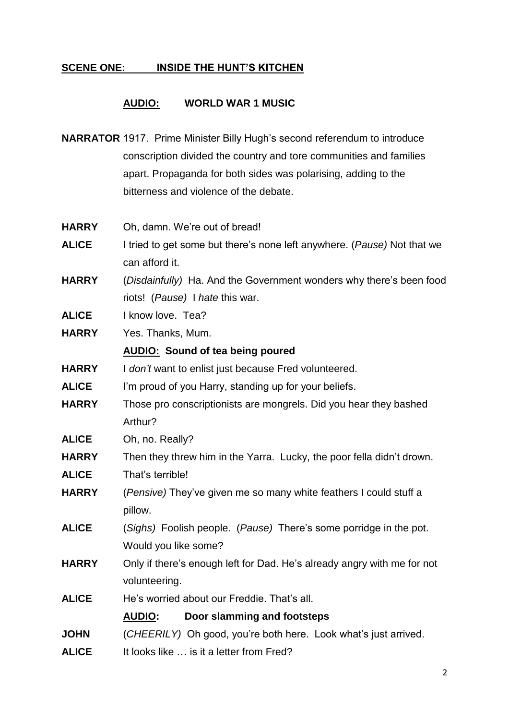# **SCENE ONE: INSIDE THE HUNT'S KITCHEN**

## **AUDIO: WORLD WAR 1 MUSIC**

**NARRATOR** 1917. Prime Minister Billy Hugh's second referendum to introduce conscription divided the country and tore communities and families apart. Propaganda for both sides was polarising, adding to the bitterness and violence of the debate.

| <b>HARRY</b> | Oh, damn. We're out of bread!                                           |
|--------------|-------------------------------------------------------------------------|
| <b>ALICE</b> | I tried to get some but there's none left anywhere. (Pause) Not that we |
|              | can afford it.                                                          |
| <b>HARRY</b> | (Disdainfully) Ha. And the Government wonders why there's been food     |
|              | riots! (Pause) I hate this war.                                         |
| <b>ALICE</b> | I know love. Tea?                                                       |
| <b>HARRY</b> | Yes. Thanks, Mum.                                                       |
|              | <b>AUDIO:</b> Sound of tea being poured                                 |
| <b>HARRY</b> | I don't want to enlist just because Fred volunteered.                   |
| <b>ALICE</b> | I'm proud of you Harry, standing up for your beliefs.                   |
| <b>HARRY</b> | Those pro conscriptionists are mongrels. Did you hear they bashed       |
|              | Arthur?                                                                 |
| <b>ALICE</b> | Oh, no. Really?                                                         |
| <b>HARRY</b> | Then they threw him in the Yarra. Lucky, the poor fella didn't drown.   |
| <b>ALICE</b> | That's terrible!                                                        |
| <b>HARRY</b> | (Pensive) They've given me so many white feathers I could stuff a       |
|              | pillow.                                                                 |
| <b>ALICE</b> | (Sighs) Foolish people. (Pause) There's some porridge in the pot.       |
|              | Would you like some?                                                    |
| <b>HARRY</b> | Only if there's enough left for Dad. He's already angry with me for not |
|              | volunteering.                                                           |
| <b>ALICE</b> | He's worried about our Freddie. That's all.                             |
|              | <b>AUDIO:</b><br>Door slamming and footsteps                            |
| <b>JOHN</b>  | (CHEERILY) Oh good, you're both here. Look what's just arrived.         |
| <b>ALICE</b> | It looks like  is it a letter from Fred?                                |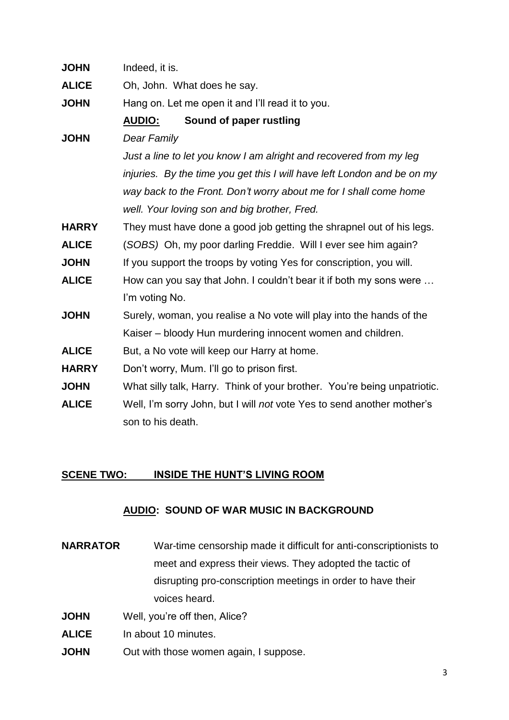| <b>JOHN</b>  | Indeed, it is.                                                           |
|--------------|--------------------------------------------------------------------------|
| <b>ALICE</b> | Oh, John. What does he say.                                              |
| <b>JOHN</b>  | Hang on. Let me open it and I'll read it to you.                         |
|              | Sound of paper rustling<br><b>AUDIO:</b>                                 |
| <b>JOHN</b>  | <b>Dear Family</b>                                                       |
|              | Just a line to let you know I am alright and recovered from my leg       |
|              | injuries. By the time you get this I will have left London and be on my  |
|              | way back to the Front. Don't worry about me for I shall come home        |
|              | well. Your loving son and big brother, Fred.                             |
| <b>HARRY</b> | They must have done a good job getting the shrapnel out of his legs.     |
| <b>ALICE</b> | (SOBS) Oh, my poor darling Freddie. Will I ever see him again?           |
| <b>JOHN</b>  | If you support the troops by voting Yes for conscription, you will.      |
| <b>ALICE</b> | How can you say that John. I couldn't bear it if both my sons were       |
|              | I'm voting No.                                                           |
| <b>JOHN</b>  | Surely, woman, you realise a No vote will play into the hands of the     |
|              | Kaiser – bloody Hun murdering innocent women and children.               |
| <b>ALICE</b> | But, a No vote will keep our Harry at home.                              |
| <b>HARRY</b> | Don't worry, Mum. I'll go to prison first.                               |
| <b>JOHN</b>  | What silly talk, Harry. Think of your brother. You're being unpatriotic. |
| <b>ALICE</b> | Well, I'm sorry John, but I will not vote Yes to send another mother's   |
|              | son to his death.                                                        |
|              |                                                                          |

#### **SCENE TWO: INSIDE THE HUNT'S LIVING ROOM**

## **AUDIO: SOUND OF WAR MUSIC IN BACKGROUND**

- **NARRATOR** War-time censorship made it difficult for anti-conscriptionists to meet and express their views. They adopted the tactic of disrupting pro-conscription meetings in order to have their voices heard.
- **JOHN** Well, you're off then, Alice?
- **ALICE** In about 10 minutes.
- **JOHN** Out with those women again, I suppose.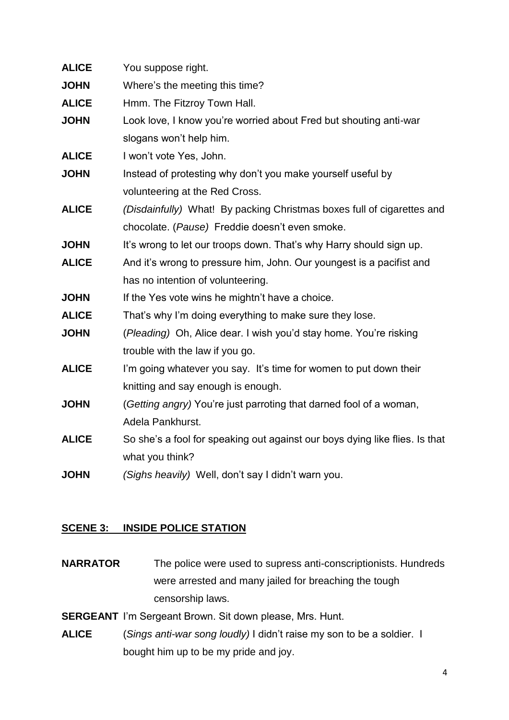| <b>ALICE</b> | You suppose right.                                                          |
|--------------|-----------------------------------------------------------------------------|
| <b>JOHN</b>  | Where's the meeting this time?                                              |
| <b>ALICE</b> | Hmm. The Fitzroy Town Hall.                                                 |
| <b>JOHN</b>  | Look love, I know you're worried about Fred but shouting anti-war           |
|              | slogans won't help him.                                                     |
| <b>ALICE</b> | I won't vote Yes, John.                                                     |
| <b>JOHN</b>  | Instead of protesting why don't you make yourself useful by                 |
|              | volunteering at the Red Cross.                                              |
| <b>ALICE</b> | (Disdainfully) What! By packing Christmas boxes full of cigarettes and      |
|              | chocolate. (Pause) Freddie doesn't even smoke.                              |
| <b>JOHN</b>  | It's wrong to let our troops down. That's why Harry should sign up.         |
| <b>ALICE</b> | And it's wrong to pressure him, John. Our youngest is a pacifist and        |
|              | has no intention of volunteering.                                           |
| <b>JOHN</b>  | If the Yes vote wins he mightn't have a choice.                             |
| <b>ALICE</b> | That's why I'm doing everything to make sure they lose.                     |
| <b>JOHN</b>  | (Pleading) Oh, Alice dear. I wish you'd stay home. You're risking           |
|              | trouble with the law if you go.                                             |
| <b>ALICE</b> | I'm going whatever you say. It's time for women to put down their           |
|              | knitting and say enough is enough.                                          |
| <b>JOHN</b>  | (Getting angry) You're just parroting that darned fool of a woman,          |
|              | Adela Pankhurst.                                                            |
| <b>ALICE</b> | So she's a fool for speaking out against our boys dying like flies. Is that |
|              | what you think?                                                             |
| <b>JOHN</b>  | (Sighs heavily) Well, don't say I didn't warn you.                          |
|              |                                                                             |

#### **SCENE 3: INSIDE POLICE STATION**

**NARRATOR** The police were used to supress anti-conscriptionists. Hundreds were arrested and many jailed for breaching the tough censorship laws.

**SERGEANT** I'm Sergeant Brown. Sit down please, Mrs. Hunt.

**ALICE** (*Sings anti-war song loudly)* I didn't raise my son to be a soldier. I bought him up to be my pride and joy.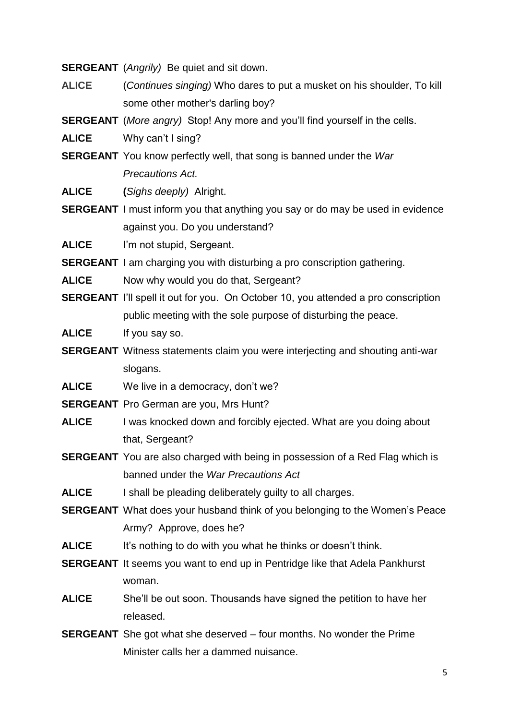**SERGEANT** (*Angrily)* Be quiet and sit down.

- **ALICE** (*Continues singing)* Who dares to put a musket on his shoulder, To kill some other mother's darling boy?
- **SERGEANT** (*More angry)* Stop! Any more and you'll find yourself in the cells.

**ALICE** Why can't I sing?

**SERGEANT** You know perfectly well, that song is banned under the *War Precautions Act.*

**ALICE (***Sighs deeply)* Alright.

**SERGEANT** I must inform you that anything you say or do may be used in evidence against you. Do you understand?

**ALICE** I'm not stupid, Sergeant.

**SERGEANT** I am charging you with disturbing a pro conscription gathering.

- **ALICE** Now why would you do that, Sergeant?
- **SERGEANT** I'll spell it out for you. On October 10, you attended a pro conscription public meeting with the sole purpose of disturbing the peace.

**ALICE** If you say so.

- **SERGEANT** Witness statements claim you were interjecting and shouting anti-war slogans.
- **ALICE** We live in a democracy, don't we?
- **SERGEANT** Pro German are you, Mrs Hunt?
- **ALICE** I was knocked down and forcibly ejected. What are you doing about that, Sergeant?
- **SERGEANT** You are also charged with being in possession of a Red Flag which is banned under the *War Precautions Act*
- **ALICE** I shall be pleading deliberately guilty to all charges.
- **SERGEANT** What does your husband think of you belonging to the Women's Peace Army? Approve, does he?
- **ALICE** It's nothing to do with you what he thinks or doesn't think.
- **SERGEANT** It seems you want to end up in Pentridge like that Adela Pankhurst woman.
- **ALICE** She'll be out soon. Thousands have signed the petition to have her released.
- **SERGEANT** She got what she deserved four months. No wonder the Prime Minister calls her a dammed nuisance.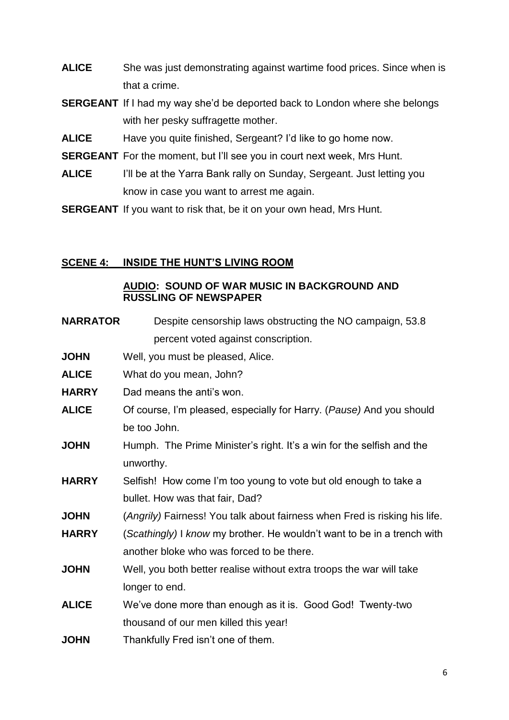- **ALICE** She was just demonstrating against wartime food prices. Since when is that a crime.
- **SERGEANT** If I had my way she'd be deported back to London where she belongs with her pesky suffragette mother.
- **ALICE** Have you quite finished, Sergeant? I'd like to go home now.
- **SERGEANT** For the moment, but I'll see you in court next week, Mrs Hunt.
- **ALICE** I'll be at the Yarra Bank rally on Sunday, Sergeant. Just letting you know in case you want to arrest me again.
- **SERGEANT** If you want to risk that, be it on your own head, Mrs Hunt.

#### **SCENE 4: INSIDE THE HUNT'S LIVING ROOM**

#### **AUDIO: SOUND OF WAR MUSIC IN BACKGROUND AND RUSSLING OF NEWSPAPER**

| <b>NARRATOR</b> | Despite censorship laws obstructing the NO campaign, 53.8                  |
|-----------------|----------------------------------------------------------------------------|
|                 | percent voted against conscription.                                        |
| <b>JOHN</b>     | Well, you must be pleased, Alice.                                          |
| <b>ALICE</b>    | What do you mean, John?                                                    |
| <b>HARRY</b>    | Dad means the anti's won.                                                  |
| <b>ALICE</b>    | Of course, I'm pleased, especially for Harry. (Pause) And you should       |
|                 | be too John.                                                               |
| <b>JOHN</b>     | Humph. The Prime Minister's right. It's a win for the selfish and the      |
|                 | unworthy.                                                                  |
| <b>HARRY</b>    | Selfish! How come I'm too young to vote but old enough to take a           |
|                 | bullet. How was that fair, Dad?                                            |
| <b>JOHN</b>     | (Angrily) Fairness! You talk about fairness when Fred is risking his life. |
| <b>HARRY</b>    | (Scathingly) I know my brother. He wouldn't want to be in a trench with    |
|                 | another bloke who was forced to be there.                                  |
| <b>JOHN</b>     | Well, you both better realise without extra troops the war will take       |
|                 | longer to end.                                                             |
| <b>ALICE</b>    | We've done more than enough as it is. Good God! Twenty-two                 |
|                 | thousand of our men killed this year!                                      |
| <b>JOHN</b>     | Thankfully Fred isn't one of them.                                         |